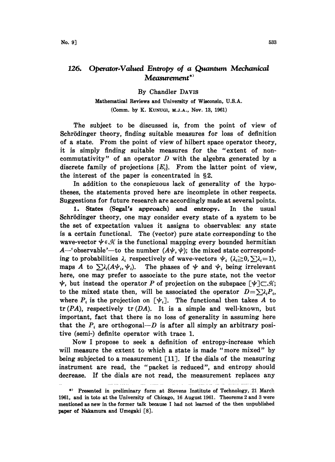## 126. Operator-Valued Entropy of a Quantum Mechanical  $Measurement$ \*'

By Chandler DAWS

Mathematical Reviews and University of Wisconsin, U.S.A. (Comm. by K. KUNUGI, M.J.A., Nov. 13, 1961)

The subject to be discussed is, from the point of view of Schrödinger theory, finding suitable measures for loss of definition of a state. From the point of view of hilbert space operator theory, it is simply finding suitable measures for the "extent of noncommutativity" of an operator  $D$  with the algebra generated by a discrete family of projections  $\{E_i\}$ . From the latter point of view, the interest of the paper is concentrated in  $\S 2$ .

In addition to the conspicuous lack of generality of the hypotheses, the statements proved here are incomplete in other respects. Suggestions for future research are accordingly made at several points.

1. States (Segal's approach) and entropy. In the usual Schrödinger theory, one may consider every state of a system to be the set of expectation values it assigns to observables: any state is a certain functional. The (vector) pure state corresponding to the wave-vector  $\psi \in \mathcal{A}$  is the functional mapping every bounded hermitian A-'observable'-to the number  $(A\psi, \psi)$ ; the mixed state corresponding to probabilities  $\lambda_i$  respectively of wave-vectors  $\psi_i$  ( $\lambda_i \geq 0$ ,  $\sum_i \lambda_i=1$ ), maps A to  $\sum \lambda_i (A \psi_i, \psi_i)$ . The phases of  $\psi$  and  $\psi_i$  being irrelevant here, one may prefer to associate to the pure state, not the vector  $\psi$ , but instead the operator P of projection on the subspace  $[\psi] \subset \mathcal{A}$ ; to the mixed state then, will be associated the operator  $D = \sum_i \lambda_i P_i$ , where  $P_i$  is the projection on  $[\psi_i]$ . The functional then takes A to  $tr (PA)$ , respectively  $tr (DA)$ . It is a simple and well-known, but important, fact that there is no loss of generality in assuming here that the  $P_i$  are orthogonal—D is after all simply an arbitrary positive (semi-) definite operator with trace 1.

Now <sup>I</sup> propose to seek a definition of entropy-increase which will measure the extent to which a state is made "more mixed" by being subjected to a measurement  $\lceil 11 \rceil$ . If the dials of the measuring instrument are read, the "packet is reduced", and entropy should decrease. If the dials are not read, the measurement replaces any

القدم فستدرج المتدرجات والمتار

uli se

<sup>\*)</sup> Presented in preliminary form at Stevens Institute of Technology, 21 March 1961, and in toto at the University of Chicago, 16 August 1961. Theorems 2 and 3 were mentioned as new in the former talk because <sup>I</sup> had not learned of the then unpublished paper of Nakamura and Umegaki [8].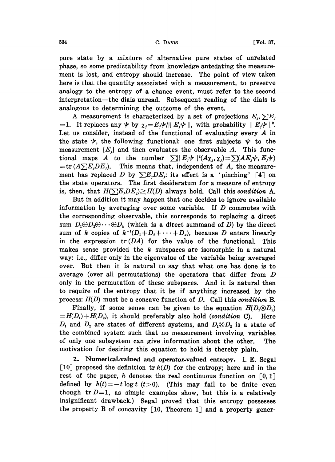pure state by a mixture of alternative pure states of unrelated phase, so some predictability from knowledge antedating the measurement is lost, and entropy should increase. The point of view taken here is that the quantity associated with a measurement, to preserve analogy to the entropy of a chance event, must refer to the second interpretation—the dials unread. Subsequent reading of the dials is analogous to determining the outcome of the event.

A measurement is characterized by a set of projections  $E_i$ ,  $\sum E_i$  $1.$  It replaces any  $\psi$  by  $\chi_j = E_j \psi / || E_j \psi ||$ , with probability  $|| E_j \psi ||^2$ . Let us consider, instead of the functional of evaluating every  $A$  in the state  $\psi$ , the following functional: one first subjects  $\psi$  to the measurement  ${E_i}$  and then evaluates the observable A. This functional maps A to the number  $\sum ||E_j \psi||^2 (A \chi_j, \chi_j) = \sum (A E_j \psi, E_j \psi)$  $=\text{tr}(A\sum E_jDE_j)$ . This means that, independent of A, the measurement has replaced D by  $\sum E_j DE_j$ : its effect is a 'pinching' [4] on the state operators. The first desideratum for a measure of entropy is, then, that  $H(\sum E_iDE_j) \geq H(D)$  always hold. Call this condition A.

But in addition it may happen that one decides to ignore available information by averaging over some variable. If  $D$  commutes with the corresponding observable, this corresponds to replacing a direct sum  $D_1 \oplus D_2 \oplus \cdots \oplus D_k$  (which is a direct summand of D) by the direct sum of k copies of  $k^{-1}(D_1+D_2+\cdots+D_k)$ , because D enters linearly in the expression  $tr(DA)$  for the value of the functional. This makes sense provided the  $k$  subspaces are isomorphic in a natural way: i.e., differ only in the eigenvalue of the variable being averaged over. But then it is natural to say that what one has done is to average (over all permutations) the operators that differ from  $D$ only in the permutation of these subspaces. And it is natural then to require of the entropy that it be if anything increased by the process:  $H(D)$  must be a concave function of D. Call this condition B.

Finally, if some sense can be given to the equation  $H(D_1 \otimes D_2)$  $=H(D_1)+H(D_2)$ , it should preferably also hold (condition C). Here  $D_1$  and  $D_2$  are states of different systems, and  $D_1 \otimes D_2$  is a state of the combined system such that no measurement involving variables of only one subsystem can give information about the other. The motivation for desiring this equation to hold is thereby plain.

2. Numerical.valued and operator.valued entropy. I.E. Segal [10] proposed the definition  $tr h(D)$  for the entropy; here and in the rest of the paper, h denotes the real continuous function on  $[0,1]$ defined by  $h(t)=-t \log t$  (t>0). (This may fail to be finite even though tr  $D=1$ , as simple examples show, but this is a relatively insignificant drawback.) Segal proved that this entropy possesses the property B of concavity  $\lceil 10 \rceil$ , Theorem 1 and a property gener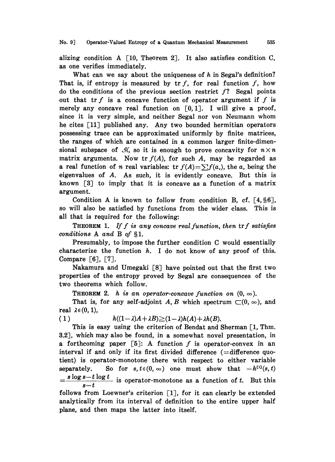alizing condition A  $\lceil 10$ , Theorem 2]. It also satisfies condition C, as one verifies immediately.

What can we say about the uniqueness of  $h$  in Segal's definition? That is, if entropy is measured by  $tr f$ , for real function  $f$ , how do the conditions of the previous section restrict  $f$ ? Segal points out that tr  $f$  is a concave function of operator argument if  $f$  is merely any concave real function on  $[0,1]$ . I will give a proof, since it is very simple, and neither Segal nor yon Neumann whom he cites [11] published any. Any two bounded hermitian operators possessing trace can be approximated uniformly by finite matrices, the ranges of which are contained in a common larger finite-dimensional subspace of  $\mathcal{A}$ , so it is enough to prove concavity for  $n \times n$ matrix arguments. Now tr  $f(A)$ , for such A, may be regarded as a real function of *n* real variables: tr  $f(A) = \sum f(a_n)$ , the *a*, being the eigenvalues of A. As such, it is evidently concave. But this is known [3J to imply that it is concave as a function of a matrix argument.

Condition A is known to follow from condition B, cf.  $[4, §6]$ , so will also be satisfied by functions from the wider class. This is all that is required for the following:

**THEOREM** 1. If f is any concave real function, then  $\text{tr } f$  satisfies conditions  $A$  and  $B$  of  $\S1$ .

Presumably, to impose the further condition C would essentially characterize the function  $h$ . I do not know of any proof of this. Compare  $[6]$ ,  $[7]$ .

Nakamura and Umegaki [8] have pointed out that the first two properties of the entropy proved by Segal are consequences of the two theorems which follow.

**THEOREM 2.** h is an operator-concave function on  $(0, \infty)$ .

That is, for any self-adjoint A, B which spectrum  $\Box(0, \infty)$ , and real  $\lambda \in (0, 1)$ ,

$$
(1) \qquad h((1-\lambda)A+\lambda B) \geq (1-\lambda)h(A)+\lambda h(B).
$$

This is easy using the criterion of Bendat and Sherman  $[1, Thm]$ . 3.2J, which may also be found, in a somewhat novel presentation, in a forthcoming paper  $[5]$ : A function f is operator-convex in an interval if and only if its first divided difference  $($  = difference quotient) is operator-monotone there with respect to either variable separately. So for  $s, t \in (0, \infty)$  one must show that  $-h^{[1]}(s, t)$  $=\frac{s \log s-t \log t}{i}$  is operator-monotone as a function of t. But this  $s - t$ 

follows from Loewner's criterion [1], for it can clearly be extended analytically from its interval of definition to the entire upper half plane, and then maps the latter into itself.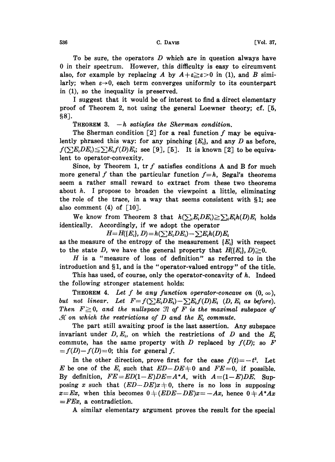To be sure, the operators  $D$  which are in question always have 0 in their spectrum. However, this difficulty is easy to circumvent also, for example by replacing A by  $A+\varepsilon \geq \varepsilon >0$  in (1), and B similarly; when  $\varepsilon \rightarrow 0$ , each term converges uniformly to its counterpart in  $(1)$ , so the inequality is preserved.

<sup>I</sup> suggest that it would be of interest to find a direct elementary proof of Theorem 2, not using the general Loewner theory; cf.  $\lceil 5 \rceil$ , 8].

THEOREM 3.  $-h$  satisfies the Sherman condition.

The Sherman condition  $[2]$  for a real function f may be equivalently phrased this way: for any pinching  $\{E_i\}$ , and any D as before,  $f(\sum E_iDE_i) \leq \sum E_i f(D)E_i$ ; see [9], [5]. It is known [2] to be equivalent to operator-convexity.

Since, by Theorem 1,  $\operatorname{tr} f$  satisfies conditions A and B for much more general f than the particular function  $f=h$ , Segal's theorems seem a rather small reward to extract from these two theorems about  $h$ . I propose to broaden the viewpoint a little, eliminating the role of the trace, in a way that seems consistent with  $\S$ 1; see also comment  $(4)$  of  $\lceil 10 \rceil$ .

We know from Theorem 3 that  $h(\sum_{i}E_{i}DE_{i})\geq \sum_{i}E_{i}h(D)E_{i}$  holds identically. Accordingly, if we adopt the operator

 $H=H(\lbrace E_i \rbrace, D)=h(\sum E_iDE_i)-\sum E_ih(D)E_i$ 

as the measure of the entropy of the measurement  $\{E_i\}$  with respect to the state D, we have the general property that  $H([E_i], D) \geq 0$ .

H is <sup>a</sup> "measure of loss of definition" as referred to in the introduction and  $\S1$ , and is the "operator-valued entropy" of the title.

This has used, of course, only the operator-concavity of  $h$ . Indeed the following stronger statement holds:

THEOREM 4. Let f be any function operator-concave on  $(0, \infty)$ , but not linear. Let  $F=f(\sum E_iDE_i)-\sum E_i f(D)E_i$  (D, E<sub>i</sub> as before).<br>Then  $F\geq 0$ , and the nullspace  $\mathcal{I}$  of F is the maximal subspace of  $\mathcal{H}$  on which the restrictions of D and the  $E_i$  commute.

The part still awaiting proof is the last assertion. Any subspace invariant under  $D, E_i$ , on which the restrictions of D and the  $E_i$ commute, has the same property with  $D$  replaced by  $f(D)$ ; so  $F$  $f(D)-f(D)=0$ ; this for general f.

In the other direction, prove first for the case  $f(t)=-t^2$ . Let E be one of the  $E_i$  such that  $ED-DE+0$  and  $FE=0$ , if possible. By definition,  $FE = ED(1-E)DE = A*A$ , with  $A=(1-E)DE$ . Supposing x such that  $(ED-DE)x+0$ , there is no loss in supposing  $x=Ex$ , when this becomes  $0+(EDE-DE)x=-Ax$ , hence  $0+A^*Ax$  $=FEx$ , a contradiction.

A similar elementary argument proves the result for the special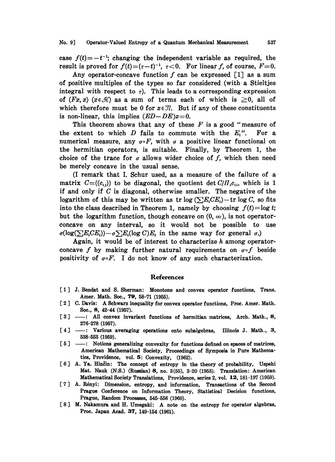case  $f(t)=-t^{-1}$ ; changing the independent variable as required, the result is proved for  $f(t)=(\tau-t)^{-1}$ ,  $\tau<0$ . For linear f, of course,  $F=0$ .

Any operator-concave function  $f$  can be expressed [1] as a sum of positive multiples of the types so far considered (with a Stieltjes integral with respect to  $\tau$ ). This leads to a corresponding expression of  $(Fx, x)$  ( $x \in \mathcal{H}$ ) as a sum of terms each of which is  $\geq 0$ , all of which therefore must be 0 for  $x \in \mathcal{I}$ . But if any of these constituents is non-linear, this implies  $(ED-DE)x=0$ .

This theorem shows that any of these  $F$  is a good "measure of the extent to which  $D$  fails to commute with the  $E_i$ ". For a numerical measure, any  $\sigma \circ F$ , with  $\sigma$  a positive linear functional on the hermitian operators, is suitable. Finally, by Theorem 1, the choice of the trace for  $\sigma$  allows wider choice of  $f$ , which then need be merely concave in the usual sense.

(I remark that I. Schur used, as a measure of the failure of a matrix  $C=(c_{ij})$  to be diagonal, the quotient det  $C/H_i c_{ii}$ , which is 1 if and only if  $C$  is diagonal, otherwise smaller. The negative of the logarithm of this may be written as tr log  $(\sum E_i C E_i)$  - tr log C, so fits into the class described in Theorem 1, namely by choosing  $f(t) = \log t$ ; but the logarithm function, though concave on  $(0, \infty)$ , is not operatorconcave on any interval, so it would not be possible to use  $\sigma(\log(\sum E_iCE_i)) - \sigma \sum E_i(\log C)E_i$  in the same way for general  $\sigma$ .)

Again, it would be of interest to characterize  $h$  among operatorconcave f by making further natural requirements on  $\sigma \circ f$  beside positivity of  $\sigma \circ F$ . I do not know of any such characterization.

## References

- [1] J. Bendat and S. Sherman: Monotone and convex operator functions, Trans. Amer. Math. Soc., 79, 58-71 (1955).
- [2] C. Davis: A Schwarz inequality for convex operator functions, Proc. Amer. Math. See., 8, 42-44 (1957).
- [3] -- : All convex invariant functions of hermitian matrices, Arch. Math., 8, 276-278 (1957).
- [4] -- Various averaging operations onto subalgebras, Illinois J. Math., 3, 538-553 (1959).
- [5] : Notions generalizing convexity for functions defined on spaces of matrices, American Mathematical Society, Proceedings of Symposia in Pure Mathematics, Providence, vol. 5: Convexity, (1962).
- [6] A. Ya. Hinčin: The concept of entropy in the theory of probability, Uspehi Mat. Nauk (N.S.) (Russian) 8, no. 3(55), 3-20 (1953). Translation: American Mathematical Society Translations, Providence, series 2, vol. 12, 181-197 (1959).
- [7] A. Rényi: Dimension, entropy, and information, Transactions of the Second Prague Conference on Information Theory, Statistical Decision functions, Prague, Random Processes, 545-556 (1960).
- [ <sup>8</sup> ] M. Nakamura and H. Umegaki: A note on the entropy for operator algebras, Prec. Japan Acad. 37, 149-154 (1961).